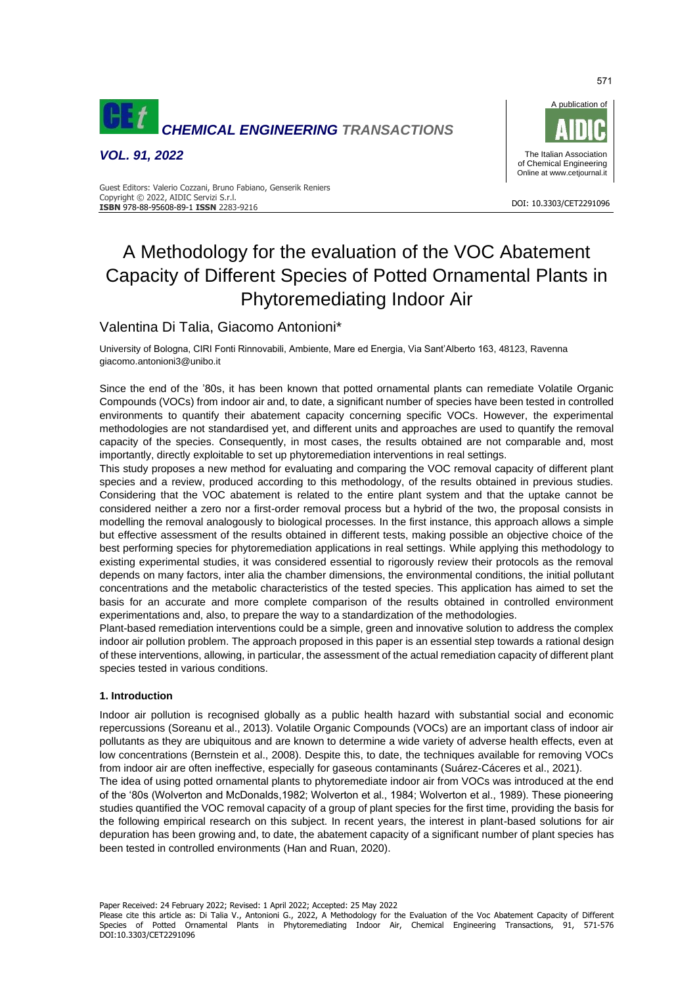

*VOL. 91, 2022*



#### DOI: 10.3303/CET2291096 **ISBN** 978-88-95608-89-1 **ISSN** 2283-9216 Guest Editors: Valerio Cozzani, Bruno Fabiano, Genserik Reniers Copyright © 2022, AIDIC Servizi S.r.l.

# A Methodology for the evaluation of the VOC Abatement Capacity of Different Species of Potted Ornamental Plants in Phytoremediating Indoor Air

## Valentina Di Talia, Giacomo Antonioni\*

University of Bologna, CIRI Fonti Rinnovabili, Ambiente, Mare ed Energia, Via Sant'Alberto 163, 48123, Ravenna giacomo.antonioni3@unibo.it

Since the end of the '80s, it has been known that potted ornamental plants can remediate Volatile Organic Compounds (VOCs) from indoor air and, to date, a significant number of species have been tested in controlled environments to quantify their abatement capacity concerning specific VOCs. However, the experimental methodologies are not standardised yet, and different units and approaches are used to quantify the removal capacity of the species. Consequently, in most cases, the results obtained are not comparable and, most importantly, directly exploitable to set up phytoremediation interventions in real settings.

This study proposes a new method for evaluating and comparing the VOC removal capacity of different plant species and a review, produced according to this methodology, of the results obtained in previous studies. Considering that the VOC abatement is related to the entire plant system and that the uptake cannot be considered neither a zero nor a first-order removal process but a hybrid of the two, the proposal consists in modelling the removal analogously to biological processes. In the first instance, this approach allows a simple but effective assessment of the results obtained in different tests, making possible an objective choice of the best performing species for phytoremediation applications in real settings. While applying this methodology to existing experimental studies, it was considered essential to rigorously review their protocols as the removal depends on many factors, inter alia the chamber dimensions, the environmental conditions, the initial pollutant concentrations and the metabolic characteristics of the tested species. This application has aimed to set the basis for an accurate and more complete comparison of the results obtained in controlled environment experimentations and, also, to prepare the way to a standardization of the methodologies.

Plant-based remediation interventions could be a simple, green and innovative solution to address the complex indoor air pollution problem. The approach proposed in this paper is an essential step towards a rational design of these interventions, allowing, in particular, the assessment of the actual remediation capacity of different plant species tested in various conditions.

#### **1. Introduction**

Indoor air pollution is recognised globally as a public health hazard with substantial social and economic repercussions (Soreanu et al., 2013). Volatile Organic Compounds (VOCs) are an important class of indoor air pollutants as they are ubiquitous and are known to determine a wide variety of adverse health effects, even at low concentrations (Bernstein et al., 2008). Despite this, to date, the techniques available for removing VOCs from indoor air are often ineffective, especially for gaseous contaminants (Suárez-Cáceres et al., 2021).

The idea of using potted ornamental plants to phytoremediate indoor air from VOCs was introduced at the end of the '80s (Wolverton and McDonalds,1982; Wolverton et al., 1984; Wolverton et al., 1989). These pioneering studies quantified the VOC removal capacity of a group of plant species for the first time, providing the basis for the following empirical research on this subject. In recent years, the interest in plant-based solutions for air depuration has been growing and, to date, the abatement capacity of a significant number of plant species has been tested in controlled environments (Han and Ruan, 2020).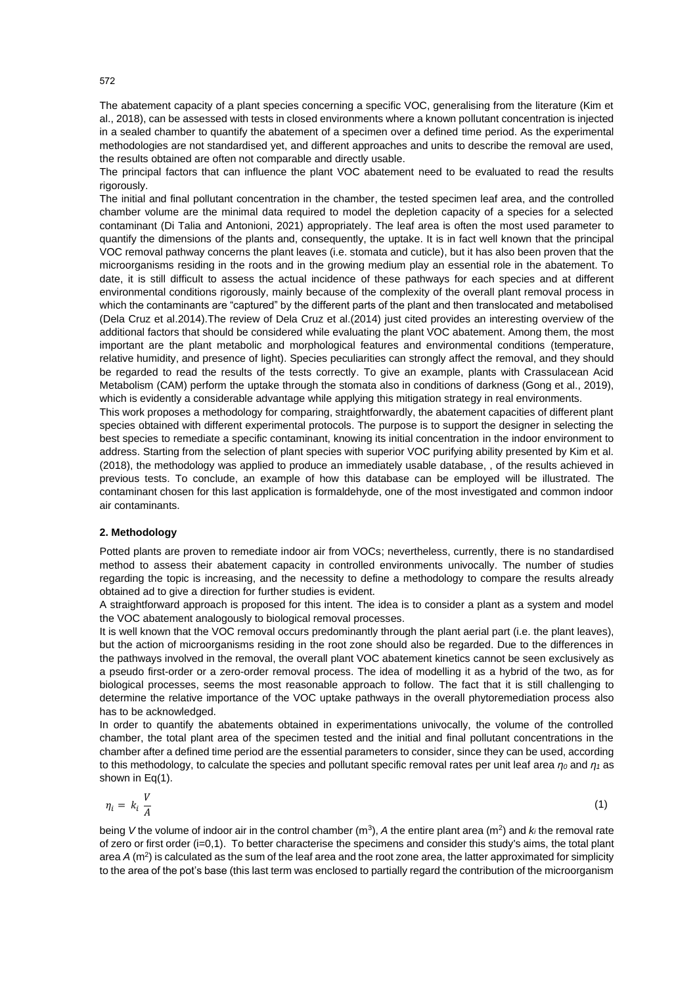The abatement capacity of a plant species concerning a specific VOC, generalising from the literature (Kim et al., 2018), can be assessed with tests in closed environments where a known pollutant concentration is injected in a sealed chamber to quantify the abatement of a specimen over a defined time period. As the experimental methodologies are not standardised yet, and different approaches and units to describe the removal are used, the results obtained are often not comparable and directly usable.

The principal factors that can influence the plant VOC abatement need to be evaluated to read the results rigorously.

The initial and final pollutant concentration in the chamber, the tested specimen leaf area, and the controlled chamber volume are the minimal data required to model the depletion capacity of a species for a selected contaminant (Di Talia and Antonioni, 2021) appropriately. The leaf area is often the most used parameter to quantify the dimensions of the plants and, consequently, the uptake. It is in fact well known that the principal VOC removal pathway concerns the plant leaves (i.e. stomata and cuticle), but it has also been proven that the microorganisms residing in the roots and in the growing medium play an essential role in the abatement. To date, it is still difficult to assess the actual incidence of these pathways for each species and at different environmental conditions rigorously, mainly because of the complexity of the overall plant removal process in which the contaminants are "captured" by the different parts of the plant and then translocated and metabolised (Dela Cruz et al.2014).The review of Dela Cruz et al.(2014) just cited provides an interesting overview of the additional factors that should be considered while evaluating the plant VOC abatement. Among them, the most important are the plant metabolic and morphological features and environmental conditions (temperature, relative humidity, and presence of light). Species peculiarities can strongly affect the removal, and they should be regarded to read the results of the tests correctly. To give an example, plants with Crassulacean Acid Metabolism (CAM) perform the uptake through the stomata also in conditions of darkness (Gong et al., 2019), which is evidently a considerable advantage while applying this mitigation strategy in real environments.

This work proposes a methodology for comparing, straightforwardly, the abatement capacities of different plant species obtained with different experimental protocols. The purpose is to support the designer in selecting the best species to remediate a specific contaminant, knowing its initial concentration in the indoor environment to address. Starting from the selection of plant species with superior VOC purifying ability presented by Kim et al. (2018), the methodology was applied to produce an immediately usable database, , of the results achieved in previous tests. To conclude, an example of how this database can be employed will be illustrated. The contaminant chosen for this last application is formaldehyde, one of the most investigated and common indoor air contaminants.

#### **2. Methodology**

Potted plants are proven to remediate indoor air from VOCs; nevertheless, currently, there is no standardised method to assess their abatement capacity in controlled environments univocally. The number of studies regarding the topic is increasing, and the necessity to define a methodology to compare the results already obtained ad to give a direction for further studies is evident.

A straightforward approach is proposed for this intent. The idea is to consider a plant as a system and model the VOC abatement analogously to biological removal processes.

It is well known that the VOC removal occurs predominantly through the plant aerial part (i.e. the plant leaves), but the action of microorganisms residing in the root zone should also be regarded. Due to the differences in the pathways involved in the removal, the overall plant VOC abatement kinetics cannot be seen exclusively as a pseudo first-order or a zero-order removal process. The idea of modelling it as a hybrid of the two, as for biological processes, seems the most reasonable approach to follow. The fact that it is still challenging to determine the relative importance of the VOC uptake pathways in the overall phytoremediation process also has to be acknowledged.

In order to quantify the abatements obtained in experimentations univocally, the volume of the controlled chamber, the total plant area of the specimen tested and the initial and final pollutant concentrations in the chamber after a defined time period are the essential parameters to consider, since they can be used, according to this methodology, to calculate the species and pollutant specific removal rates per unit leaf area *η<sup>0</sup>* and *η<sup>1</sup>* as shown in Eq(1).

$$
\eta_i = k_i \frac{V}{A} \tag{1}
$$

being V the volume of indoor air in the control chamber ( $m^3$ ), A the entire plant area ( $m^2$ ) and  $k_i$  the removal rate of zero or first order (i=0,1). To better characterise the specimens and consider this study's aims, the total plant area  $A$  ( $m^2$ ) is calculated as the sum of the leaf area and the root zone area, the latter approximated for simplicity to the area of the pot's base (this last term was enclosed to partially regard the contribution of the microorganism

572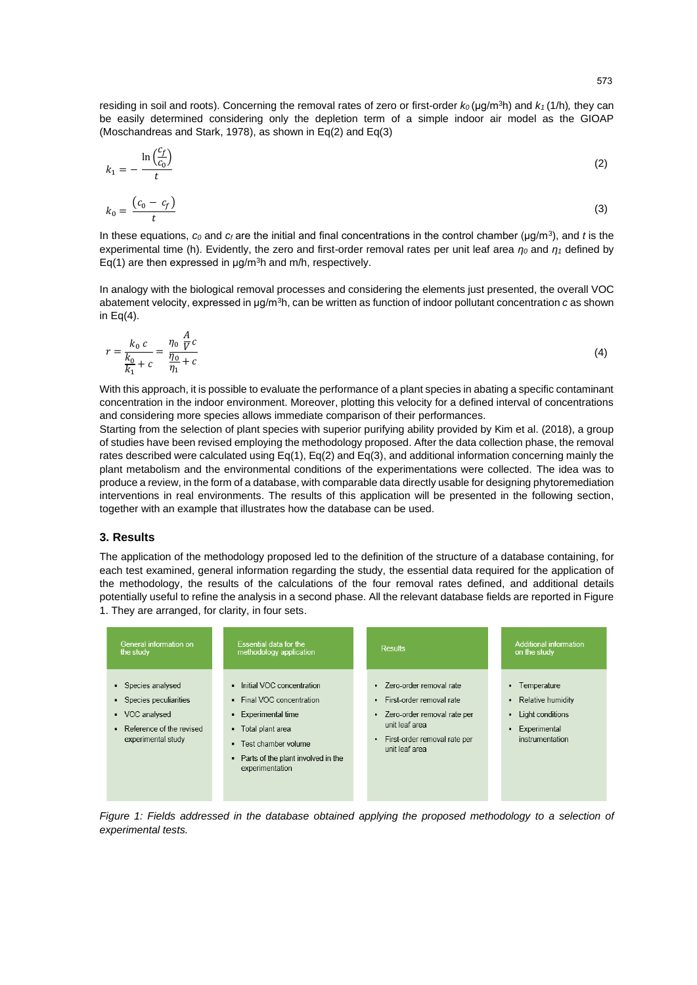residing in soil and roots). Concerning the removal rates of zero or first-order  $k_0$  (μg/m<sup>3</sup>h) and  $k_1$  (1/h), they can be easily determined considering only the depletion term of a simple indoor air model as the GIOAP (Moschandreas and Stark, 1978), as shown in Eq(2) and Eq(3)

$$
k_1 = -\frac{\ln\left(\frac{c_f}{c_0}\right)}{t} \tag{2}
$$

$$
k_0 = \frac{(c_0 - c_f)}{t} \tag{3}
$$

In these equations, *c<sup>0</sup>* and *c<sup>f</sup>* are the initial and final concentrations in the control chamber (μg/m<sup>3</sup> ), and *t* is the experimental time (h). Evidently, the zero and first-order removal rates per unit leaf area *η<sup>0</sup>* and *η<sup>1</sup>* defined by Eq(1) are then expressed in  $\mu$ g/m<sup>3</sup>h and m/h, respectively.

In analogy with the biological removal processes and considering the elements just presented, the overall VOC abatement velocity, expressed in μg/m<sup>3</sup>h, can be written as function of indoor pollutant concentration *c* as shown in  $Eq(4)$ .

$$
r = \frac{k_0 \ c}{\frac{k_0}{k_1} + c} = \frac{\eta_0 \ \frac{A}{V} c}{\frac{\eta_0}{\eta_1} + c}
$$
 (4)

With this approach, it is possible to evaluate the performance of a plant species in abating a specific contaminant concentration in the indoor environment. Moreover, plotting this velocity for a defined interval of concentrations and considering more species allows immediate comparison of their performances.

Starting from the selection of plant species with superior purifying ability provided by Kim et al. (2018), a group of studies have been revised employing the methodology proposed. After the data collection phase, the removal rates described were calculated using Eq(1), Eq(2) and Eq(3), and additional information concerning mainly the plant metabolism and the environmental conditions of the experimentations were collected. The idea was to produce a review, in the form of a database, with comparable data directly usable for designing phytoremediation interventions in real environments. The results of this application will be presented in the following section, together with an example that illustrates how the database can be used.

### **3. Results**

The application of the methodology proposed led to the definition of the structure of a database containing, for each test examined, general information regarding the study, the essential data required for the application of the methodology, the results of the calculations of the four removal rates defined, and additional details potentially useful to refine the analysis in a second phase. All the relevant database fields are reported in Figure 1. They are arranged, for clarity, in four sets.

| General information on                                                                                                       | Essential data for the                                                                                                                                                                  | <b>Results</b>                                                                                                                                                                  | Additional information                                                                                      |
|------------------------------------------------------------------------------------------------------------------------------|-----------------------------------------------------------------------------------------------------------------------------------------------------------------------------------------|---------------------------------------------------------------------------------------------------------------------------------------------------------------------------------|-------------------------------------------------------------------------------------------------------------|
| the study                                                                                                                    | methodology application                                                                                                                                                                 |                                                                                                                                                                                 | on the study                                                                                                |
| Species analysed<br>٠<br>Species peculiarities<br>٠<br>• VOC analysed<br>Reference of the revised<br>٠<br>experimental study | Initial VOC concentration<br>• Final VOC concentration<br>• Experimental time<br>• Total plant area<br>• Test chamber volume<br>• Parts of the plant involved in the<br>experimentation | · Zero-order removal rate<br>First-order removal rate<br>٠<br>Zero-order removal rate per<br>$\bullet$<br>unit leaf area<br>First-order removal rate per<br>٠<br>unit leaf area | Temperature<br>٠<br>Relative humidity<br>٠<br>Light conditions<br>٠<br>Experimental<br>٠<br>instrumentation |

*Figure 1: Fields addressed in the database obtained applying the proposed methodology to a selection of experimental tests.*

573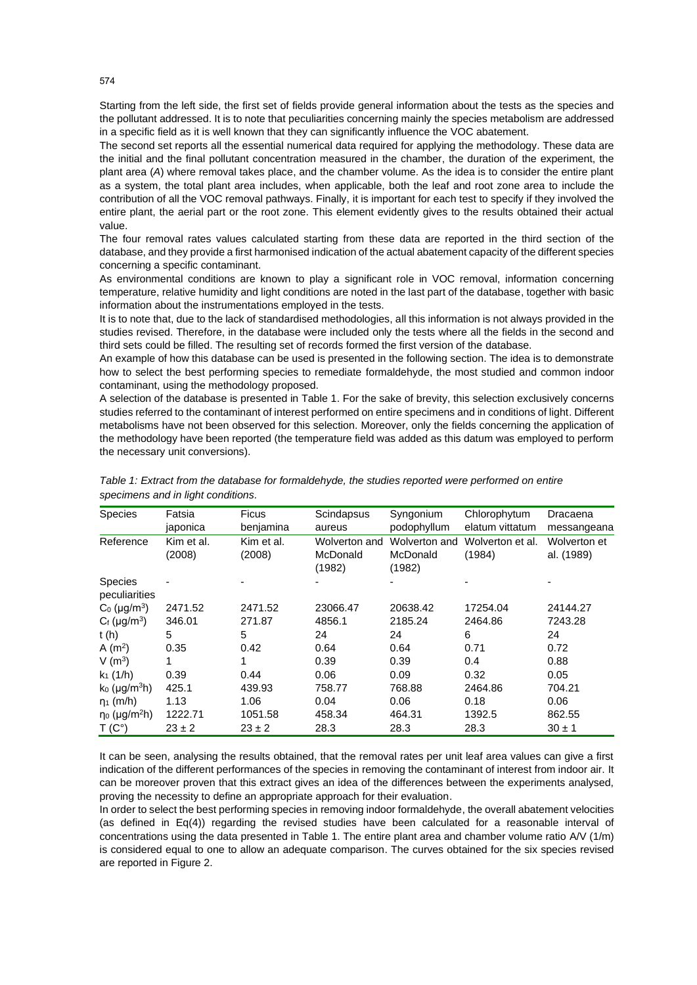Starting from the left side, the first set of fields provide general information about the tests as the species and the pollutant addressed. It is to note that peculiarities concerning mainly the species metabolism are addressed in a specific field as it is well known that they can significantly influence the VOC abatement.

The second set reports all the essential numerical data required for applying the methodology. These data are the initial and the final pollutant concentration measured in the chamber, the duration of the experiment, the plant area (*A*) where removal takes place, and the chamber volume. As the idea is to consider the entire plant as a system, the total plant area includes, when applicable, both the leaf and root zone area to include the contribution of all the VOC removal pathways. Finally, it is important for each test to specify if they involved the entire plant, the aerial part or the root zone. This element evidently gives to the results obtained their actual value.

The four removal rates values calculated starting from these data are reported in the third section of the database, and they provide a first harmonised indication of the actual abatement capacity of the different species concerning a specific contaminant.

As environmental conditions are known to play a significant role in VOC removal, information concerning temperature, relative humidity and light conditions are noted in the last part of the database, together with basic information about the instrumentations employed in the tests.

It is to note that, due to the lack of standardised methodologies, all this information is not always provided in the studies revised. Therefore, in the database were included only the tests where all the fields in the second and third sets could be filled. The resulting set of records formed the first version of the database.

An example of how this database can be used is presented in the following section. The idea is to demonstrate how to select the best performing species to remediate formaldehyde, the most studied and common indoor contaminant, using the methodology proposed.

A selection of the database is presented in Table 1. For the sake of brevity, this selection exclusively concerns studies referred to the contaminant of interest performed on entire specimens and in conditions of light. Different metabolisms have not been observed for this selection. Moreover, only the fields concerning the application of the methodology have been reported (the temperature field was added as this datum was employed to perform the necessary unit conversions).

| <b>Species</b>                  | Fatsia     | <b>Ficus</b> | Scindapsus         | Syngonium          | Chlorophytum     | Dracaena     |
|---------------------------------|------------|--------------|--------------------|--------------------|------------------|--------------|
|                                 | japonica   | benjamina    | aureus             | podophyllum        | elatum vittatum  | messangeana  |
| Reference                       | Kim et al. | Kim et al.   | Wolverton and      | Wolverton and      | Wolverton et al. | Wolverton et |
|                                 | (2008)     | (2008)       | McDonald<br>(1982) | McDonald<br>(1982) | (1984)           | al. (1989)   |
| <b>Species</b><br>peculiarities |            |              |                    |                    |                  |              |
| $C_0$ (µg/m <sup>3</sup> )      | 2471.52    | 2471.52      | 23066.47           | 20638.42           | 17254.04         | 24144.27     |
| $C_f$ (µg/m <sup>3</sup> )      | 346.01     | 271.87       | 4856.1             | 2185.24            | 2464.86          | 7243.28      |
| t(h)                            | 5          | 5            | 24                 | 24                 | 6                | 24           |
| A $(m2)$                        | 0.35       | 0.42         | 0.64               | 0.64               | 0.71             | 0.72         |
| V $(m^3)$                       | 1          |              | 0.39               | 0.39               | 0.4              | 0.88         |
| $k_1$ (1/h)                     | 0.39       | 0.44         | 0.06               | 0.09               | 0.32             | 0.05         |
| $k_0$ (µg/m <sup>3</sup> h)     | 425.1      | 439.93       | 758.77             | 768.88             | 2464.86          | 704.21       |
| $\eta_1$ (m/h)                  | 1.13       | 1.06         | 0.04               | 0.06               | 0.18             | 0.06         |
| $\eta_0$ (µg/m <sup>2</sup> h)  | 1222.71    | 1051.58      | 458.34             | 464.31             | 1392.5           | 862.55       |
| $T(C^{\circ})$                  | $23 \pm 2$ | $23 \pm 2$   | 28.3               | 28.3               | 28.3             | $30 \pm 1$   |

*Table 1: Extract from the database for formaldehyde, the studies reported were performed on entire specimens and in light conditions.* 

It can be seen, analysing the results obtained, that the removal rates per unit leaf area values can give a first indication of the different performances of the species in removing the contaminant of interest from indoor air. It can be moreover proven that this extract gives an idea of the differences between the experiments analysed, proving the necessity to define an appropriate approach for their evaluation.

In order to select the best performing species in removing indoor formaldehyde, the overall abatement velocities (as defined in Eq(4)) regarding the revised studies have been calculated for a reasonable interval of concentrations using the data presented in Table 1. The entire plant area and chamber volume ratio A/V (1/m) is considered equal to one to allow an adequate comparison. The curves obtained for the six species revised are reported in Figure 2.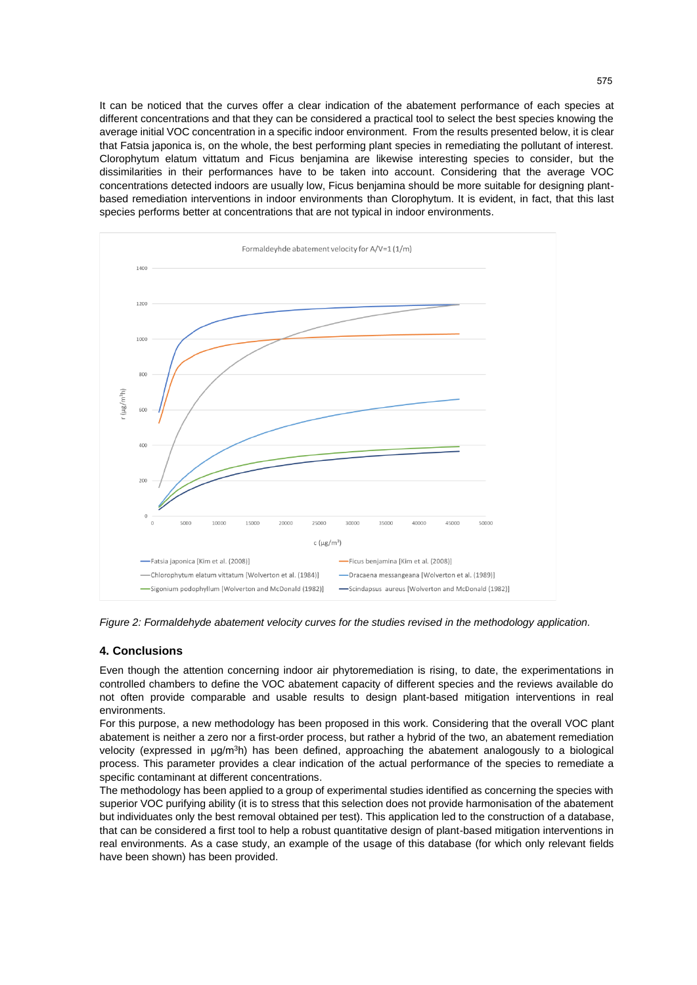It can be noticed that the curves offer a clear indication of the abatement performance of each species at different concentrations and that they can be considered a practical tool to select the best species knowing the average initial VOC concentration in a specific indoor environment. From the results presented below, it is clear that Fatsia japonica is, on the whole, the best performing plant species in remediating the pollutant of interest. Clorophytum elatum vittatum and Ficus benjamina are likewise interesting species to consider, but the dissimilarities in their performances have to be taken into account. Considering that the average VOC concentrations detected indoors are usually low, Ficus benjamina should be more suitable for designing plantbased remediation interventions in indoor environments than Clorophytum. It is evident, in fact, that this last species performs better at concentrations that are not typical in indoor environments.



*Figure 2: Formaldehyde abatement velocity curves for the studies revised in the methodology application.*

### **4. Conclusions**

Even though the attention concerning indoor air phytoremediation is rising, to date, the experimentations in controlled chambers to define the VOC abatement capacity of different species and the reviews available do not often provide comparable and usable results to design plant-based mitigation interventions in real environments.

For this purpose, a new methodology has been proposed in this work. Considering that the overall VOC plant abatement is neither a zero nor a first-order process, but rather a hybrid of the two, an abatement remediation velocity (expressed in μg/m<sup>3</sup>h) has been defined, approaching the abatement analogously to a biological process. This parameter provides a clear indication of the actual performance of the species to remediate a specific contaminant at different concentrations.

The methodology has been applied to a group of experimental studies identified as concerning the species with superior VOC purifying ability (it is to stress that this selection does not provide harmonisation of the abatement but individuates only the best removal obtained per test). This application led to the construction of a database, that can be considered a first tool to help a robust quantitative design of plant-based mitigation interventions in real environments. As a case study, an example of the usage of this database (for which only relevant fields have been shown) has been provided.